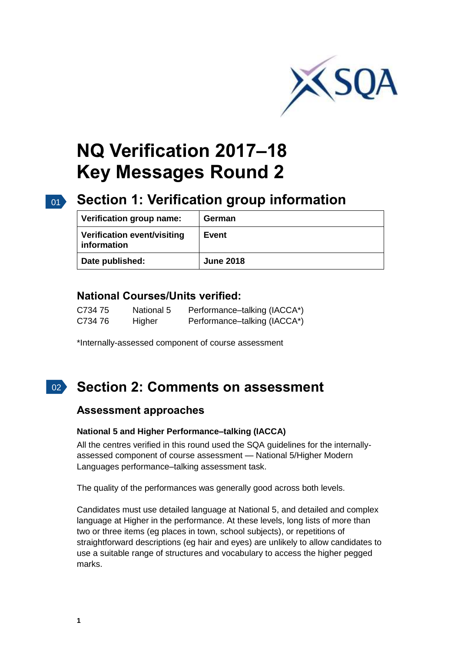

# **NQ Verification 2017–18 Key Messages Round 2**

# 01 **Section 1: Verification group information**

| Verification group name:                   | German           |
|--------------------------------------------|------------------|
| Verification event/visiting<br>information | <b>Event</b>     |
| Date published:                            | <b>June 2018</b> |

## **National Courses/Units verified:**

| C734 75 | National 5 | Performance-talking (IACCA*) |
|---------|------------|------------------------------|
| C734 76 | Higher     | Performance-talking (IACCA*) |

\*Internally-assessed component of course assessment

#### $\overline{02}$ **Section 2: Comments on assessment**

### **Assessment approaches**

#### **National 5 and Higher Performance–talking (IACCA)**

All the centres verified in this round used the SQA guidelines for the internallyassessed component of course assessment — National 5/Higher Modern Languages performance–talking assessment task.

The quality of the performances was generally good across both levels.

Candidates must use detailed language at National 5, and detailed and complex language at Higher in the performance. At these levels, long lists of more than two or three items (eg places in town, school subjects), or repetitions of straightforward descriptions (eg hair and eyes) are unlikely to allow candidates to use a suitable range of structures and vocabulary to access the higher pegged marks.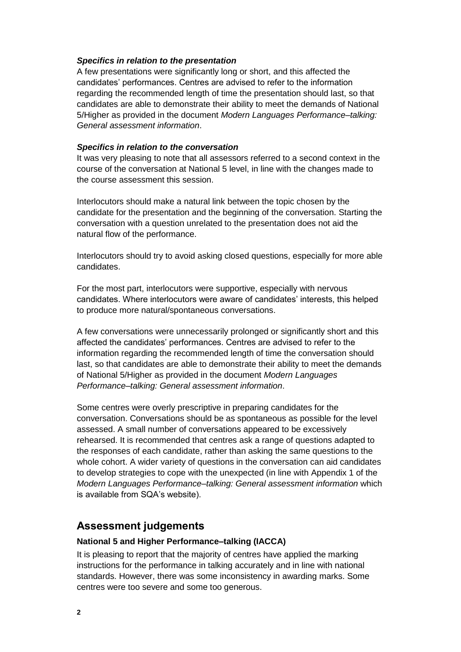#### *Specifics in relation to the presentation*

A few presentations were significantly long or short, and this affected the candidates' performances. Centres are advised to refer to the information regarding the recommended length of time the presentation should last, so that candidates are able to demonstrate their ability to meet the demands of National 5/Higher as provided in the document *Modern Languages Performance–talking: General assessment information*.

#### *Specifics in relation to the conversation*

It was very pleasing to note that all assessors referred to a second context in the course of the conversation at National 5 level, in line with the changes made to the course assessment this session.

Interlocutors should make a natural link between the topic chosen by the candidate for the presentation and the beginning of the conversation. Starting the conversation with a question unrelated to the presentation does not aid the natural flow of the performance.

Interlocutors should try to avoid asking closed questions, especially for more able candidates.

For the most part, interlocutors were supportive, especially with nervous candidates. Where interlocutors were aware of candidates' interests, this helped to produce more natural/spontaneous conversations.

A few conversations were unnecessarily prolonged or significantly short and this affected the candidates' performances. Centres are advised to refer to the information regarding the recommended length of time the conversation should last, so that candidates are able to demonstrate their ability to meet the demands of National 5/Higher as provided in the document *Modern Languages Performance–talking: General assessment information*.

Some centres were overly prescriptive in preparing candidates for the conversation. Conversations should be as spontaneous as possible for the level assessed. A small number of conversations appeared to be excessively rehearsed. It is recommended that centres ask a range of questions adapted to the responses of each candidate, rather than asking the same questions to the whole cohort. A wider variety of questions in the conversation can aid candidates to develop strategies to cope with the unexpected (in line with Appendix 1 of the *Modern Languages Performance–talking: General assessment information* which is available from SQA's website).

### **Assessment judgements**

#### **National 5 and Higher Performance–talking (IACCA)**

It is pleasing to report that the majority of centres have applied the marking instructions for the performance in talking accurately and in line with national standards. However, there was some inconsistency in awarding marks. Some centres were too severe and some too generous.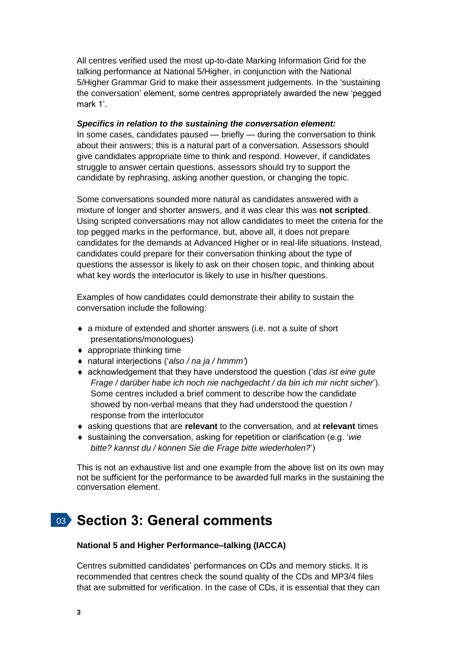All centres verified used the most up-to-date Marking Information Grid for the talking performance at National 5/Higher, in conjunction with the National 5/Higher Grammar Grid to make their assessment judgements. In the 'sustaining the conversation' element, some centres appropriately awarded the new 'pegged mark 1'.

#### *Specifics in relation to the sustaining the conversation element:*

In some cases, candidates paused — briefly — during the conversation to think about their answers; this is a natural part of a conversation. Assessors should give candidates appropriate time to think and respond. However, if candidates struggle to answer certain questions, assessors should try to support the candidate by rephrasing, asking another question, or changing the topic.

Some conversations sounded more natural as candidates answered with a mixture of longer and shorter answers, and it was clear this was **not scripted**. Using scripted conversations may not allow candidates to meet the criteria for the top pegged marks in the performance, but, above all, it does not prepare candidates for the demands at Advanced Higher or in real-life situations. Instead, candidates could prepare for their conversation thinking about the type of questions the assessor is likely to ask on their chosen topic, and thinking about what key words the interlocutor is likely to use in his/her questions.

Examples of how candidates could demonstrate their ability to sustain the conversation include the following:

- a mixture of extended and shorter answers (i.e. not a suite of short presentations/monologues)
- ◆ appropriate thinking time
- natural interjections ('*also / na ja / hmmm'*)
- acknowledgement that they have understood the question ('*das ist eine gute Frage / darüber habe ich noch nie nachgedacht / da bin ich mir nicht sicher*'). Some centres included a brief comment to describe how the candidate showed by non-verbal means that they had understood the question / response from the interlocutor
- asking questions that are **relevant** to the conversation, and at **relevant** times
- sustaining the conversation, asking for repetition or clarification (e.g. '*wie bitte? kannst du / können Sie die Frage bitte wiederholen?*')

This is not an exhaustive list and one example from the above list on its own may not be sufficient for the performance to be awarded full marks in the sustaining the conversation element.

# 03 **Section 3: General comments**

#### **National 5 and Higher Performance–talking (IACCA)**

Centres submitted candidates' performances on CDs and memory sticks. It is recommended that centres check the sound quality of the CDs and MP3/4 files that are submitted for verification. In the case of CDs, it is essential that they can